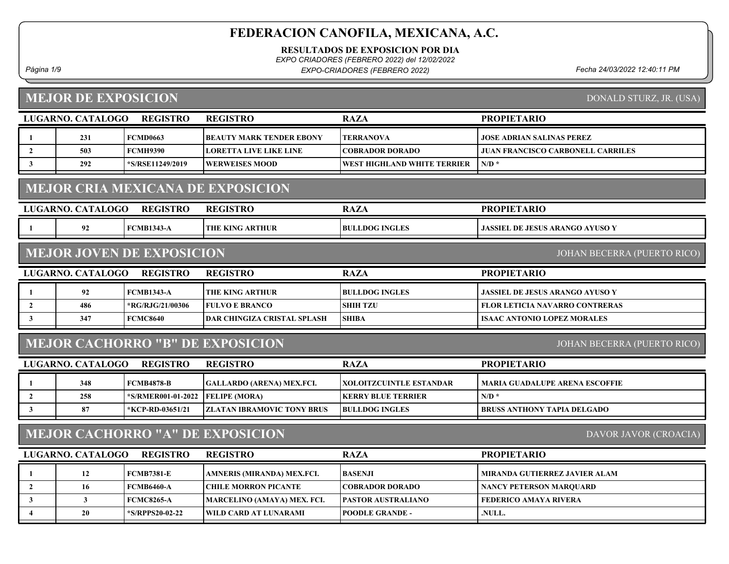RESULTADOS DE EXPOSICION POR DIA

EXPO CRIADORES (FEBRERO 2022) del 12/02/2022

Página 1/9 Fecha 24/03/2022 12:40:11 PM EXPO-CRIADORES (FEBRERO 2022)

# MEJOR DE EXPOSICION

DONALD STURZ, JR. (USA)

|                | LUGARNO. CATALOGO | <b>REGISTRO</b>                  | <b>REGISTRO</b>                          | <b>RAZA</b>                        | <b>PROPIETARIO</b>                       |
|----------------|-------------------|----------------------------------|------------------------------------------|------------------------------------|------------------------------------------|
| -1             | 231               | <b>FCMD0663</b>                  | <b>BEAUTY MARK TENDER EBONY</b>          | <b>TERRANOVA</b>                   | <b>JOSE ADRIAN SALINAS PEREZ</b>         |
| $\overline{2}$ | 503               | <b>FCMH9390</b>                  | <b>LORETTA LIVE LIKE LINE</b>            | <b>COBRADOR DORADO</b>             | <b>JUAN FRANCISCO CARBONELL CARRILES</b> |
| 3              | 292               | *S/RSE11249/2019                 | <b>WERWEISES MOOD</b>                    | <b>WEST HIGHLAND WHITE TERRIER</b> | $N/D$ *                                  |
|                |                   |                                  | <b>MEJOR CRIA MEXICANA DE EXPOSICION</b> |                                    |                                          |
|                | LUGARNO. CATALOGO | <b>REGISTRO</b>                  | <b>REGISTRO</b>                          | <b>RAZA</b>                        | <b>PROPIETARIO</b>                       |
| -1             | 92                | <b>FCMB1343-A</b>                | THE KING ARTHUR                          | <b>BULLDOG INGLES</b>              | <b>JASSIEL DE JESUS ARANGO AYUSO Y</b>   |
|                |                   | <b>MEJOR JOVEN DE EXPOSICION</b> |                                          |                                    | <b>JOHAN BECERRA (PUERTO RICO)</b>       |
|                | LUGARNO. CATALOGO | <b>REGISTRO</b>                  | <b>REGISTRO</b>                          | <b>RAZA</b>                        | <b>PROPIETARIO</b>                       |
| -1             | 92                | <b>FCMB1343-A</b>                | <b>THE KING ARTHUR</b>                   | <b>BULLDOG INGLES</b>              | <b>JASSIEL DE JESUS ARANGO AYUSO Y</b>   |
| $\overline{2}$ | 486               | *RG/RJG/21/00306                 | <b>FULVO E BRANCO</b>                    | <b>SHIH TZU</b>                    | <b>FLOR LETICIA NAVARRO CONTRERAS</b>    |
| 3              | 347               | <b>FCMC8640</b>                  | <b>DAR CHINGIZA CRISTAL SPLASH</b>       | <b>SHIBA</b>                       | <b>ISAAC ANTONIO LOPEZ MORALES</b>       |
|                |                   |                                  | <b>MEJOR CACHORRO "B" DE EXPOSICION</b>  |                                    | JOHAN BECERRA (PUERTO RICO)              |
|                | LUGARNO. CATALOGO | <b>REGISTRO</b>                  | <b>REGISTRO</b>                          | <b>RAZA</b>                        | <b>PROPIETARIO</b>                       |
| -1             | 348               | <b>FCMB4878-B</b>                | <b>GALLARDO (ARENA) MEX.FCI.</b>         | XOLOITZCUINTLE ESTANDAR            | <b>MARIA GUADALUPE ARENA ESCOFFIE</b>    |
| $\overline{2}$ | 258               | *S/RMER001-01-2022               | <b>FELIPE (MORA)</b>                     | <b>KERRY BLUE TERRIER</b>          | $N/D$ *                                  |
| $\mathbf{3}$   | 87                | *KCP-RD-03651/21                 | <b>ZLATAN IBRAMOVIC TONY BRUS</b>        | <b>BULLDOG INGLES</b>              | <b>BRUSS ANTHONY TAPIA DELGADO</b>       |
|                |                   |                                  | <b>MEJOR CACHORRO "A" DE EXPOSICION</b>  |                                    | DAVOR JAVOR (CROACIA)                    |
|                | LUGARNO. CATALOGO | <b>REGISTRO</b>                  | <b>REGISTRO</b>                          | <b>RAZA</b>                        | <b>PROPIETARIO</b>                       |
| 1              | 12                | <b>FCMB7381-E</b>                | AMNERIS (MIRANDA) MEX.FCI.               | BASENJI                            | MIRANDA GUTIERREZ JAVIER ALAM            |
| $\overline{2}$ | 16                | <b>FCMB6460-A</b>                | <b>CHILE MORRON PICANTE</b>              | <b>COBRADOR DORADO</b>             | <b>NANCY PETERSON MARQUARD</b>           |
| 3              | $\mathbf{3}$      | <b>FCMC8265-A</b>                | MARCELINO (AMAYA) MEX. FCI.              | PASTOR AUSTRALIANO                 | <b>FEDERICO AMAYA RIVERA</b>             |
| 4              | 20                | *S/RPPS20-02-22                  | WILD CARD AT LUNARAMI                    | <b>POODLE GRANDE -</b>             | .NULL.                                   |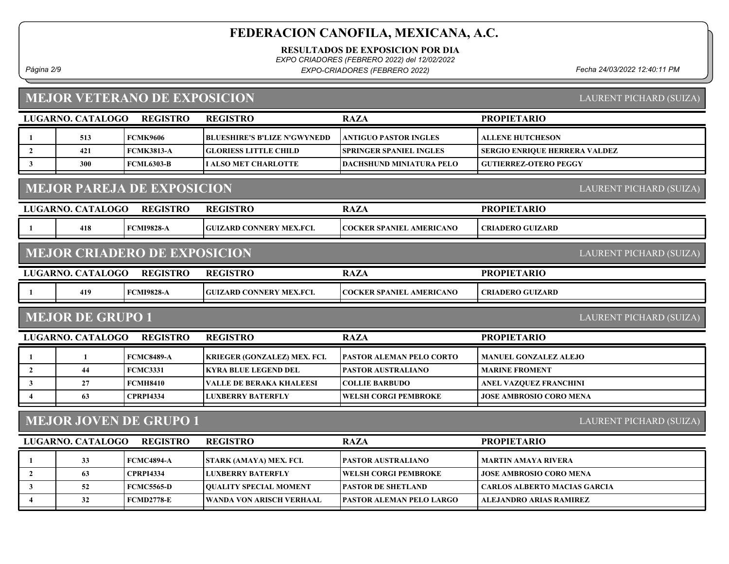RESULTADOS DE EXPOSICION POR DIA

EXPO CRIADORES (FEBRERO 2022) del 12/02/2022

Página 2/9 Fecha 24/03/2022 12:40:11 PM EXPO-CRIADORES (FEBRERO 2022)

# MEJOR VETERANO DE EXPOSICION

LAURENT PICHARD (SUIZA)

|                                                    | LUGARNO. CATALOGO | <b>REGISTRO</b>                     | <b>REGISTRO</b>                     | <b>RAZA</b>                     | <b>PROPIETARIO</b>                  |  |  |
|----------------------------------------------------|-------------------|-------------------------------------|-------------------------------------|---------------------------------|-------------------------------------|--|--|
| -1                                                 | 513               | <b>FCMK9606</b>                     | <b>BLUESHIRE'S B'LIZE N'GWYNEDD</b> | <b>ANTIGUO PASTOR INGLES</b>    | <b>ALLENE HUTCHESON</b>             |  |  |
| $\overline{2}$                                     | 421               | <b>FCMK3813-A</b>                   | <b>GLORIESS LITTLE CHILD</b>        | <b>SPRINGER SPANIEL INGLES</b>  | SERGIO ENRIQUE HERRERA VALDEZ       |  |  |
| $\mathbf{3}$                                       | 300               | <b>FCML6303-B</b>                   | <b>I ALSO MET CHARLOTTE</b>         | DACHSHUND MINIATURA PELO        | <b>GUTIERREZ-OTERO PEGGY</b>        |  |  |
|                                                    |                   | <b>MEJOR PAREJA DE EXPOSICION</b>   |                                     |                                 | LAURENT PICHARD (SUIZA)             |  |  |
|                                                    | LUGARNO. CATALOGO | <b>REGISTRO</b>                     | <b>REGISTRO</b>                     | <b>RAZA</b>                     | <b>PROPIETARIO</b>                  |  |  |
| -1                                                 | 418               | <b>FCMI9828-A</b>                   | <b>GUIZARD CONNERY MEX.FCI.</b>     | <b>COCKER SPANIEL AMERICANO</b> | <b>CRIADERO GUIZARD</b>             |  |  |
|                                                    |                   | <b>MEJOR CRIADERO DE EXPOSICION</b> |                                     |                                 | LAURENT PICHARD (SUIZA)             |  |  |
|                                                    | LUGARNO. CATALOGO | <b>REGISTRO</b>                     | <b>REGISTRO</b>                     | <b>RAZA</b>                     | <b>PROPIETARIO</b>                  |  |  |
| -1                                                 | 419               | <b>FCMI9828-A</b>                   | <b>GUIZARD CONNERY MEX.FCI.</b>     | <b>COCKER SPANIEL AMERICANO</b> | <b>CRIADERO GUIZARD</b>             |  |  |
| <b>MEJOR DE GRUPO 1</b><br>LAURENT PICHARD (SUIZA) |                   |                                     |                                     |                                 |                                     |  |  |
|                                                    |                   |                                     |                                     |                                 |                                     |  |  |
|                                                    | LUGARNO. CATALOGO | <b>REGISTRO</b>                     | <b>REGISTRO</b>                     | <b>RAZA</b>                     | <b>PROPIETARIO</b>                  |  |  |
| -1                                                 | 1                 | <b>FCMC8489-A</b>                   | KRIEGER (GONZALEZ) MEX. FCI.        | <b>PASTOR ALEMAN PELO CORTO</b> | <b>MANUEL GONZALEZ ALEJO</b>        |  |  |
| $\overline{2}$                                     | 44                | <b>FCMC3331</b>                     | <b>KYRA BLUE LEGEND DEL</b>         | PASTOR AUSTRALIANO              | <b>MARINE FROMENT</b>               |  |  |
| $\mathbf{3}$                                       | 27                | <b>FCMH8410</b>                     | <b>VALLE DE BERAKA KHALEESI</b>     | <b>COLLIE BARBUDO</b>           | <b>ANEL VAZQUEZ FRANCHINI</b>       |  |  |
| $\overline{\mathbf{4}}$                            | 63                | <b>CPRPI4334</b>                    | LUXBERRY BATERFLY                   | <b>WELSH CORGI PEMBROKE</b>     | <b>JOSE AMBROSIO CORO MENA</b>      |  |  |
|                                                    |                   | <b>MEJOR JOVEN DE GRUPO 1</b>       |                                     |                                 | LAURENT PICHARD (SUIZA)             |  |  |
|                                                    | LUGARNO. CATALOGO | <b>REGISTRO</b>                     | <b>REGISTRO</b>                     | <b>RAZA</b>                     | <b>PROPIETARIO</b>                  |  |  |
| -1                                                 | 33                | <b>FCMC4894-A</b>                   | STARK (AMAYA) MEX. FCI.             | PASTOR AUSTRALIANO              | <b>MARTIN AMAYA RIVERA</b>          |  |  |
| $\overline{2}$                                     | 63                | <b>CPRPI4334</b>                    | <b>LUXBERRY BATERFLY</b>            | <b>WELSH CORGI PEMBROKE</b>     | <b>JOSE AMBROSIO CORO MENA</b>      |  |  |
| $\mathbf{3}$                                       | 52                | <b>FCMC5565-D</b>                   | <b>OUALITY SPECIAL MOMENT</b>       | <b>PASTOR DE SHETLAND</b>       | <b>CARLOS ALBERTO MACIAS GARCIA</b> |  |  |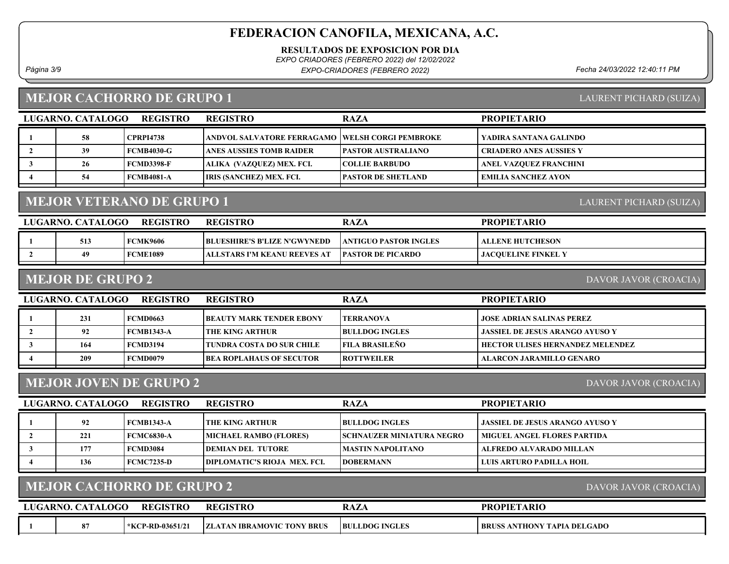RESULTADOS DE EXPOSICION POR DIA

EXPO CRIADORES (FEBRERO 2022) del 12/02/2022

Página 3/9 Fecha 24/03/2022 12:40:11 PM EXPO-CRIADORES (FEBRERO 2022)

### MEJOR CACHORRO DE GRUPO 1

| LAURENT PICHARD (SUIZA) |  |
|-------------------------|--|

| LUGARNO. CATALOGO | <b>REGISTRO</b>   | <b>REGISTRO</b>                                         | <b>RAZA</b>               | <b>PROPIETARIO</b>             |
|-------------------|-------------------|---------------------------------------------------------|---------------------------|--------------------------------|
| 58                | <b>CPRPI4738</b>  | <b>ANDVOL SALVATORE FERRAGAMO VWELSH CORGI PEMBROKE</b> |                           | YADIRA SANTANA GALINDO         |
| 39                | FCMB4030-G-       | <b>ANES AUSSIES TOMB RAIDER</b>                         | <b>PASTOR AUSTRALIANO</b> | <b>CRIADERO ANES AUSSIES Y</b> |
| 26                | <b>FCMD3398-F</b> | ALIKA (VAZQUEZ) MEX. FCI.                               | <b>COLLIE BARBUDO</b>     | <b>ANEL VAZQUEZ FRANCHINI</b>  |
| 54                | <b>FCMB4081-A</b> | IRIS (SANCHEZ) MEX. FCI.                                | <b>PASTOR DE SHETLAND</b> | <b>EMILIA SANCHEZ AYON</b>     |

# MEJOR VETERANO DE GRUPO 1

| LUGARNO. CATALOGO | <b>REGISTRO</b> | <b>REGISTRO</b>                     | RAZA                          | <b>PROPIETARIO</b>         |
|-------------------|-----------------|-------------------------------------|-------------------------------|----------------------------|
| 513               | <b>FCMK9606</b> | <b>BLUESHIRE'S B'LIZE N'GWYNEDD</b> | <b>LANTIGUO PASTOR INGLES</b> | ALLENE HUTCHESON           |
| 49                | <b>FCME1089</b> | ALLSTARS I'M KEANU REEVES AT        | <b>PASTOR DE PICARDO</b>      | <b>JACOUELINE FINKEL Y</b> |
|                   |                 |                                     |                               |                            |

### MEJOR DE GRUPO 2

DAVOR JAVOR (CROACIA)

LAURENT PICHARD (SUIZA)

| LUGARNO. CATALOGO | <b>REGISTRO</b> | <b>REGISTRO</b>                  | <b>RAZA</b>           | <b>PROPIETARIO</b>                      |
|-------------------|-----------------|----------------------------------|-----------------------|-----------------------------------------|
| 231               | FCMD0663        | <b> BEAUTY MARK TENDER EBONY</b> | <b>TERRANOVA</b>      | <b>JOSE ADRIAN SALINAS PEREZ</b>        |
| 92                | FCMB1343-A      | <b>THE KING ARTHUR</b>           | <b>BULLDOG INGLES</b> | <b>JASSIEL DE JESUS ARANGO AYUSO Y</b>  |
| 164               | <b>FCMD3194</b> | TUNDRA COSTA DO SUR CHILE-       | <b>FILA BRASILEÑO</b> | <b>HECTOR ULISES HERNANDEZ MELENDEZ</b> |
| 209               | FCMD0079        | BEA ROPLAHAUS OF SECUTOR_        | <b>ROTTWEILER</b>     | ALARCON JARAMILLO GENARO                |
|                   |                 |                                  |                       |                                         |

# MEJOR JOVEN DE GRUPO 2

DAVOR JAVOR (CROACIA)

DAVOR JAVOR (CROACIA)

| LUGARNO. CATALOGO<br><b>REGISTRO</b> |     |                 | <b>REGISTRO</b>                     | <b>RAZA</b>                       | <b>PROPIETARIO</b>                     |
|--------------------------------------|-----|-----------------|-------------------------------------|-----------------------------------|----------------------------------------|
|                                      | 92  | FCMB1343-A      | I THE KING ARTHUR-                  | <b>BULLDOG INGLES</b>             | <b>JASSIEL DE JESUS ARANGO AYUSO Y</b> |
|                                      | 221 | FCMC6830-A      | <b>MICHAEL RAMBO (FLORES)</b>       | <b>ISCHNAUZER MINIATURA NEGRO</b> | <b>MIGUEL ANGEL FLORES PARTIDA</b>     |
|                                      | 177 | <b>FCMD3084</b> | <b>IDEMIAN DEL TUTORE</b>           | MASTIN NAPOLITANO_                | ALFREDO ALVARADO MILLAN                |
|                                      | 136 | FCMC7235-D      | <b>DIPLOMATIC'S RIOJA MEX. FCL.</b> | <b>IDOBERMANN</b>                 | LUIS ARTURO PADILLA HOIL               |

## MEJOR CACHORRO DE GRUPO 2

| LUGARNO. CATALOGO | <b>REGISTRO</b>  | REGISTRC                               | KA <i>LF</i>          | <b>PROPIETARIO</b>                 |
|-------------------|------------------|----------------------------------------|-----------------------|------------------------------------|
|                   | *KCP-RD-03651/21 | 7 BRUS<br><b>ZLATAN IBRAMOVIC TONY</b> | <b>BULLDOG INGLES</b> | <b>BRUSS ANTHONY TAPIA DELGADO</b> |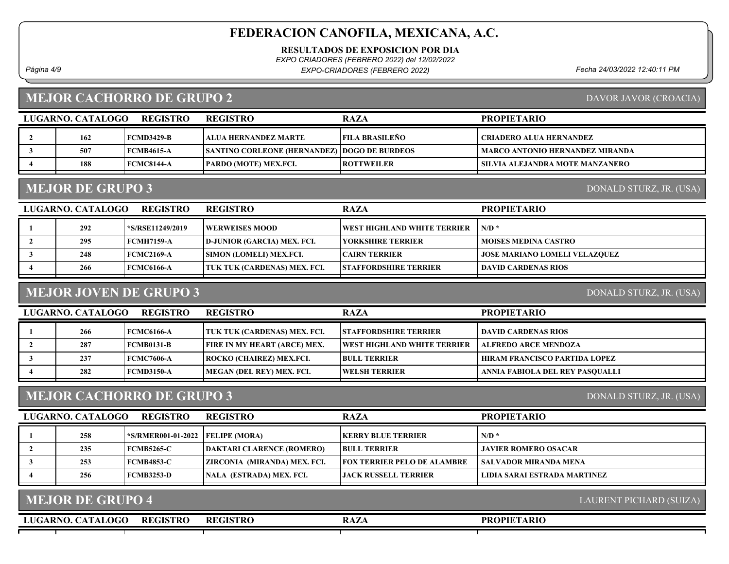RESULTADOS DE EXPOSICION POR DIA

EXPO CRIADORES (FEBRERO 2022) del 12/02/2022

Página 4/9 Fecha 24/03/2022 12:40:11 PM EXPO-CRIADORES (FEBRERO 2022)

### MEJOR CACHORRO DE GRUPO 2

| LUGARNO. CATALOGO | <b>REGISTRO</b>   | <b>REGISTRO</b>                                     | <b>RAZA</b>           | <b>PROPIETARIO</b>              |
|-------------------|-------------------|-----------------------------------------------------|-----------------------|---------------------------------|
| 162               | FCMD3429-B        | TALUA HERNANDEZ MARTE                               | <b>FILA BRASILEÑO</b> | CRIADERO ALUA HERNANDEZ         |
| 507               | <b>FCMB4615-A</b> | <b>SANTINO CORLEONE (HERNANDEZ) DOGO DE BURDEOS</b> |                       | MARCO ANTONIO HERNANDEZ MIRANDA |
| 188               | FCMC8144-A        | <b>PARDO (MOTE) MEX.FCI.</b>                        | <b>ROTTWEILER</b>     | SILVIA ALEJANDRA MOTE MANZANERO |
|                   |                   |                                                     |                       |                                 |

### MEJOR DE GRUPO 3

DONALD STURZ, JR. (USA)

| LUGARNO. CATALOGO<br><b>REGISTRO</b> |     |                   | <b>REGISTRO</b>                | <b>RAZA</b>                         | <b>PROPIETARIO</b>                   |
|--------------------------------------|-----|-------------------|--------------------------------|-------------------------------------|--------------------------------------|
|                                      | 292 | *S/RSE11249/2019  | WERWEISES MOOD_                | <b>IWEST HIGHLAND WHITE TERRIER</b> | $N/D$ *                              |
|                                      | 295 | <b>FCMH7159-A</b> | D-JUNIOR (GARCIA) MEX. FCI.    | YORKSHIRE TERRIER                   | <b>MOISES MEDINA CASTRO</b>          |
|                                      | 248 | <b>FCMC2169-A</b> | <b>SIMON (LOMELI) MEX.FCI.</b> | <b>ICAIRN TERRIER</b>               | <b>JOSE MARIANO LOMELI VELAZQUEZ</b> |
|                                      | 266 | <b>FCMC6166-A</b> | TUK TUK (CARDENAS) MEX. FCI.   | <b>ISTAFFORDSHIRE TERRIER</b>       | <b>DAVID CARDENAS RIOS</b>           |

## MEJOR JOVEN DE GRUPO 3

DONALD STURZ, JR. (USA)

| LUGARNO. CATALOGO | <b>REGISTRO</b>   | <b>REGISTRO</b>                     | <b>RAZA</b>                         | <b>PROPIETARIO</b>              |
|-------------------|-------------------|-------------------------------------|-------------------------------------|---------------------------------|
| 266               | <b>FCMC6166-A</b> | TUK TUK (CARDENAS) MEX. FCI.        | <b>STAFFORDSHIRE TERRIER</b>        | DAVID CARDENAS RIOS             |
| 287               | <b>FCMB0131-B</b> | <b>FIRE IN MY HEART (ARCE) MEX.</b> | <b>IWEST HIGHLAND WHITE TERRIER</b> | <b>ALFREDO ARCE MENDOZA</b>     |
| 237               | <b>FCMC7606-A</b> | <b>ROCKO (CHAIREZ) MEX.FCI.</b>     | <b>BULL TERRIER</b>                 | HIRAM FRANCISCO PARTIDA LOPEZ   |
| 282               | FCMD3150-A        | MEGAN (DEL REY) MEX. FCI.           | <b>WELSH TERRIER</b>                | ANNIA FABIOLA DEL REY PASOUALLI |

## MEJOR CACHORRO DE GRUPO 3

LUGARNO. CATALOGO REGISTRO REGISTRO RAZA

| 258 | $*$ S/RMER001-01-2022 FELIPE (MORA) |                                  | <b>IKERRY BLUE TERRIER</b>          | $N/D$ *                      |
|-----|-------------------------------------|----------------------------------|-------------------------------------|------------------------------|
| 235 | FCMB5265-C                          | <b>DAKTARI CLARENCE (ROMERO)</b> | <b>BULL TERRIER</b>                 | JAVIER ROMERO OSACAR-        |
| 253 | <b>FCMB4853-C</b>                   | ZIRCONIA (MIRANDA) MEX. FCI.     | <b>IFOX TERRIER PELO DE ALAMBRE</b> | SALVADOR MIRANDA MENA-       |
| 256 | FCMB3253-D                          | <b>NALA (ESTRADA) MEX. FCI.</b>  | <b>LIACK RUSSELL TERRIER</b>        | LIDIA SARAI ESTRADA MARTINEZ |

| <b>MEJOR DE GRUPO 4</b> |                 |                 |             |                    | LAURENT PICHARD (SUIZA), |
|-------------------------|-----------------|-----------------|-------------|--------------------|--------------------------|
| LUGARNO. CATALOGO       | <b>REGISTRO</b> | <b>REGISTRO</b> | <b>RAZA</b> | <b>PROPIETARIO</b> |                          |
|                         |                 |                 |             |                    |                          |

DONALD STURZ, JR. (USA)

PROPIETARIO

DAVOR JAVOR (CROACIA)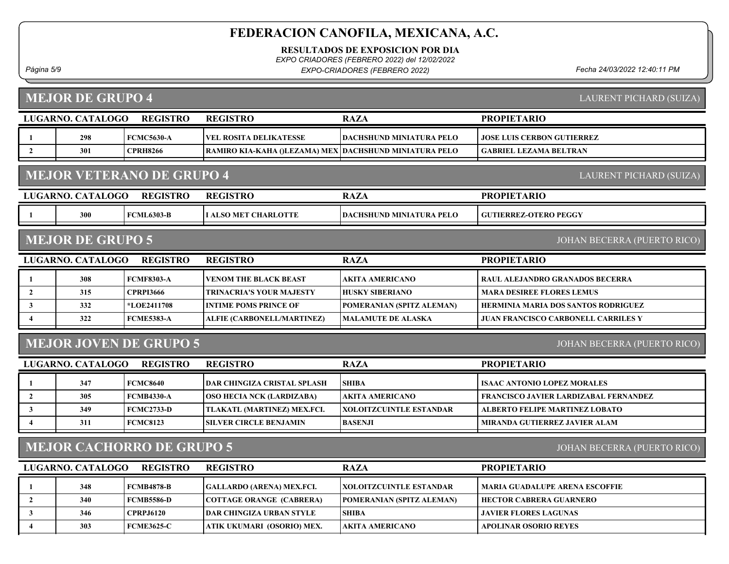RESULTADOS DE EXPOSICION POR DIA

EXPO CRIADORES (FEBRERO 2022) del 12/02/2022

Página 5/9 Fecha 24/03/2022 12:40:11 PM EXPO-CRIADORES (FEBRERO 2022)

# MEJOR DE GRUPO 4

LAURENT PICHARD (SUIZA)

|                         | LUGARNO. CATALOGO                                           | <b>REGISTRO</b>                  | <b>REGISTRO</b>                                        | <b>RAZA</b>                     | <b>PROPIETARIO</b>                           |  |  |
|-------------------------|-------------------------------------------------------------|----------------------------------|--------------------------------------------------------|---------------------------------|----------------------------------------------|--|--|
|                         | 298                                                         | <b>FCMC5630-A</b>                | <b>VEL ROSITA DELIKATESSE</b>                          | <b>DACHSHUND MINIATURA PELO</b> | <b>JOSE LUIS CERBON GUTIERREZ</b>            |  |  |
| $\mathbf{2}$            | 301                                                         | <b>CPRH8266</b>                  | RAMIRO KIA-KAHA ()LEZAMA) MEX DACHSHUND MINIATURA PELO |                                 | <b>GABRIEL LEZAMA BELTRAN</b>                |  |  |
|                         | <b>MEJOR VETERANO DE GRUPO 4</b><br>LAURENT PICHARD (SUIZA) |                                  |                                                        |                                 |                                              |  |  |
|                         | <b>LUGARNO. CATALOGO</b>                                    | <b>REGISTRO</b>                  | <b>REGISTRO</b>                                        | <b>RAZA</b>                     | <b>PROPIETARIO</b>                           |  |  |
|                         | 300                                                         | <b>FCML6303-B</b>                | I ALSO MET CHARLOTTE                                   | DACHSHUND MINIATURA PELO        | <b>GUTIERREZ-OTERO PEGGY</b>                 |  |  |
|                         | <b>MEJOR DE GRUPO 5</b>                                     |                                  |                                                        |                                 | JOHAN BECERRA (PUERTO RICO)                  |  |  |
|                         | LUGARNO. CATALOGO                                           | <b>REGISTRO</b>                  | <b>REGISTRO</b>                                        | <b>RAZA</b>                     | <b>PROPIETARIO</b>                           |  |  |
| 1                       | 308                                                         | <b>FCMF8303-A</b>                | <b>VENOM THE BLACK BEAST</b>                           | <b>AKITA AMERICANO</b>          | RAUL ALEJANDRO GRANADOS BECERRA              |  |  |
| $\overline{2}$          | 315                                                         | <b>CPRPI3666</b>                 | TRINACRIA'S YOUR MAJESTY                               | <b>HUSKY SIBERIANO</b>          | <b>MARA DESIREE FLORES LEMUS</b>             |  |  |
| $\mathbf{3}$            | 332                                                         | *LOE2411708                      | INTIME POMS PRINCE OF                                  | POMERANIAN (SPITZ ALEMAN)       | HERMINIA MARIA DOS SANTOS RODRIGUEZ          |  |  |
| $\overline{\mathbf{4}}$ | 322                                                         | <b>FCME5383-A</b>                | ALFIE (CARBONELL/MARTINEZ)                             | <b>MALAMUTE DE ALASKA</b>       | <b>JUAN FRANCISCO CARBONELL CARRILES Y</b>   |  |  |
|                         |                                                             | <b>MEJOR JOVEN DE GRUPO 5</b>    |                                                        |                                 | JOHAN BECERRA (PUERTO RICO)                  |  |  |
|                         | LUGARNO. CATALOGO                                           | <b>REGISTRO</b>                  | <b>REGISTRO</b>                                        | <b>RAZA</b>                     | <b>PROPIETARIO</b>                           |  |  |
|                         | 347                                                         | <b>FCMC8640</b>                  | <b>DAR CHINGIZA CRISTAL SPLASH</b>                     | <b>SHIBA</b>                    | <b>ISAAC ANTONIO LOPEZ MORALES</b>           |  |  |
| $\mathbf{2}$            | 305                                                         | <b>FCMB4330-A</b>                | OSO HECIA NCK (LARDIZABA)                              | <b>AKITA AMERICANO</b>          | <b>FRANCISCO JAVIER LARDIZABAL FERNANDEZ</b> |  |  |
| 3                       | 349                                                         | <b>FCMC2733-D</b>                | TLAKATL (MARTINEZ) MEX.FCI.                            | <b>XOLOITZCUINTLE ESTANDAR</b>  | ALBERTO FELIPE MARTINEZ LOBATO               |  |  |
| $\overline{4}$          | 311                                                         | <b>FCMC8123</b>                  | SILVER CIRCLE BENJAMIN                                 | <b>BASENJI</b>                  | MIRANDA GUTIERREZ JAVIER ALAM                |  |  |
|                         |                                                             | <b>MEJOR CACHORRO DE GRUPO 5</b> |                                                        |                                 | JOHAN BECERRA (PUERTO RICO)                  |  |  |
|                         | LUGARNO. CATALOGO                                           | <b>REGISTRO</b>                  | <b>REGISTRO</b>                                        | <b>RAZA</b>                     | <b>PROPIETARIO</b>                           |  |  |
| 1                       | 348                                                         | <b>FCMB4878-B</b>                | <b>GALLARDO (ARENA) MEX.FCI.</b>                       | XOLOITZCUINTLE ESTANDAR         | <b>MARIA GUADALUPE ARENA ESCOFFIE</b>        |  |  |
| $\overline{2}$          | 340                                                         | <b>FCMB5586-D</b>                | <b>COTTAGE ORANGE (CABRERA)</b>                        | POMERANIAN (SPITZ ALEMAN)       | <b>HECTOR CABRERA GUARNERO</b>               |  |  |
| $\mathbf{3}$            | 346                                                         | <b>CPRPJ6120</b>                 | <b>DAR CHINGIZA URBAN STYLE</b>                        | <b>SHIBA</b>                    | <b>JAVIER FLORES LAGUNAS</b>                 |  |  |
|                         |                                                             |                                  |                                                        |                                 |                                              |  |  |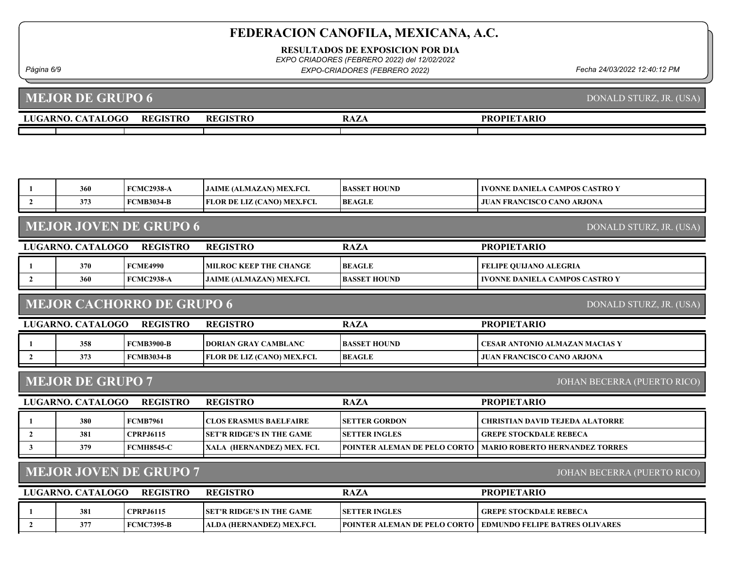RESULTADOS DE EXPOSICION POR DIA

EXPO CRIADORES (FEBRERO 2022) del 12/02/2022

Página 6/9 Fecha 24/03/2022 12:40:12 PM EXPO-CRIADORES (FEBRERO 2022)

#### LUGARNO. CATALOGO REGISTRO REGISTRO RAZA MEJOR DE GRUPO 6 **PROPIETARIO** DONALD STURZ, JR. (USA)

| 360                                                      | <b>FCMC2938-A</b>                | <b>JAIME (ALMAZAN) MEX.FCI.</b>    | <b>BASSET HOUND</b> | <b>IVONNE DANIELA CAMPOS CASTRO Y</b> |  |  |  |
|----------------------------------------------------------|----------------------------------|------------------------------------|---------------------|---------------------------------------|--|--|--|
| 373                                                      | <b>FCMB3034-B</b>                | <b>FLOR DE LIZ (CANO) MEX.FCI.</b> | <b>BEAGLE</b>       | <b>JUAN FRANCISCO CANO ARJONA</b>     |  |  |  |
| <b>MEJOR JOVEN DE GRUPO 6</b><br>DONALD STURZ, JR. (USA) |                                  |                                    |                     |                                       |  |  |  |
| LUGARNO. CATALOGO                                        | <b>REGISTRO</b>                  | <b>REGISTRO</b>                    | <b>RAZA</b>         | <b>PROPIETARIO</b>                    |  |  |  |
| 370                                                      | <b>FCME4990</b>                  | <b>MILROC KEEP THE CHANGE</b>      | <b>BEAGLE</b>       | <b>FELIPE QUIJANO ALEGRIA</b>         |  |  |  |
| 360                                                      | <b>FCMC2938-A</b>                | <b>JAIME (ALMAZAN) MEX.FCI.</b>    | <b>BASSET HOUND</b> | <b>IVONNE DANIELA CAMPOS CASTRO Y</b> |  |  |  |
|                                                          |                                  |                                    |                     |                                       |  |  |  |
|                                                          | <b>MEJOR CACHORRO DE GRUPO 6</b> |                                    |                     | DONALD STURZ, JR. (USA)               |  |  |  |

### MEJOR CACHORRO DE GRUPO 6

| LUGARNO. CATALOGO | <b>REGISTRO</b> | <b>REGISTRO</b>                    | <b>RAZA</b>          | <b>PROPIETARIO</b>                  |
|-------------------|-----------------|------------------------------------|----------------------|-------------------------------------|
| 358               | FCMB3900-B      | <b>IDORIAN GRAY CAMBLANC</b>       | <b>IBASSET HOUND</b> | I CESAR ANTONIO ALMAZAN MACIAS Y    |
| 373               | FCMB3034-B      | <b>FLOR DE LIZ (CANO) MEX.FCI.</b> | <b>BEAGLE</b>        | <b>I JUAN FRANCISCO CANO ARJONA</b> |

### MEJOR DE GRUPO 7

JOHAN BECERRA (PUERTO RICO)

| LUGARNO. CATALOGO | <b>REGISTRO</b>   | <b>REGISTRO</b>                   | <b>RAZA</b>                         | <b>PROPIETARIO</b>                     |
|-------------------|-------------------|-----------------------------------|-------------------------------------|----------------------------------------|
| 380               | <b>FCMB7961</b>   | CLOS ERASMUS BAELFAIRE            | <b>ISETTER GORDON</b>               | <b>CHRISTIAN DAVID TEJEDA ALATORRE</b> |
| 381               | CPRP.16115        | <b>ISET'R RIDGE'S IN THE GAME</b> | <b>ISETTER INGLES</b>               | <b>GREPE STOCKDALE REBECA</b>          |
| 379               | <b>FCMH8545-C</b> | XALA (HERNANDEZ) MEX. FCI.        | <b>POINTER ALEMAN DE PELO CORTO</b> | <b>MARIO ROBERTO HERNANDEZ TORRES</b>  |

# MEJOR JOVEN DE GRUPO 7

JOHAN BECERRA (PUERTO RICO)

| LUGARNO. CATALOGO | <b>REGISTRO</b>  | <b>REGISTRO</b>                   | RAZA                  | <b>PROPIETARIO</b>                                                    |
|-------------------|------------------|-----------------------------------|-----------------------|-----------------------------------------------------------------------|
| 381               | <b>CPRPJ6115</b> | <b>ISET'R RIDGE'S IN THE GAME</b> | <b>ISETTER INGLES</b> | <b>GREPE STOCKDALE REBECA</b>                                         |
| 377               | FCMC7395-B       | ALDA (HERNANDEZ) MEX.FCI.         |                       | <b>TPOINTER ALEMAN DE PELO CORTO   EDMUNDO FELIPE BATRES OLIVARES</b> |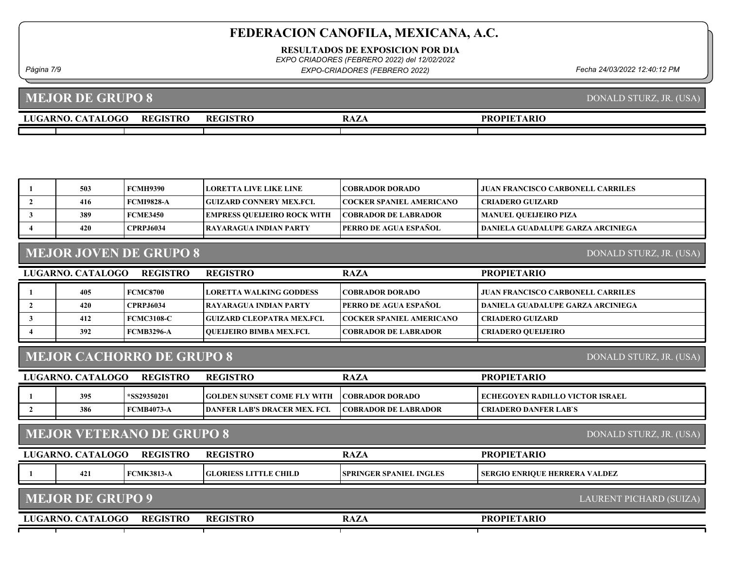RESULTADOS DE EXPOSICION POR DIA

EXPO CRIADORES (FEBRERO 2022) del 12/02/2022

Página 7/9 Fecha 24/03/2022 12:40:12 PM EXPO-CRIADORES (FEBRERO 2022)

MEJOR DE GRUPO 8

# 1 503 FCMH9390 LORETTA LIVE LIKE LINE COBRADOR DORADO JUAN FRANCISCO CARBONELL CARRILES 2 | 416 FCMI9828-A | GUIZARD CONNERY MEX.FCI. | COCKER SPANIEL AMERICANO | CRIADERO GUIZARD 3 389 FCME3450 EMPRESS QUEIJEIRO ROCK WITH COBRADOR DE LABRADOR MANUEL QUEIJEIRO PIZA 4 420 CPRPJ6034 RAYARAGUA INDIAN PARTY PERRO DE AGUA ESPAÑOL DANIELA GUADALUPE GARZA ARCINIEGA LUGARNO. CATALOGO REGISTRO RAZA MEJOR JOVEN DE GRUPO 8 PROPIETARIO DONALD STURZ, JR. (USA) REGISTRO 1 405 FCMC8700 LORETTA WALKING GODDESS COBRADOR DORADO JUAN FRANCISCO CARBONELL CARRILES 2 | 420 CPRPJ6034 RAYARAGUA INDIAN PARTY PERRO DE AGUA ESPAÑOL | DANIELA GUADALUPE GARZA ARCINIEGA 3 1412 FCMC3108-C GUIZARD CLEOPATRA MEX.FCI. COCKER SPANIEL AMERICANO CRIADERO GUIZARD 4 392 FCMB3296-A QUEIJEIRO BIMBA MEX.FCI. COBRADOR DE LABRADOR CRIADERO QUEIJEIRO DONALD STURZ, JR. (USA)

# MEJOR CACHORRO DE GRUPO 8

LUGARNO. CATALOGO REGISTRO RAZA

REGISTRO

| LUGARNO. CATALOGO | <b>REGISTRO</b>   | <b>REGISTRO</b>                      | <b>RAZA</b>                  | <b>PROPIETARIO</b>              |
|-------------------|-------------------|--------------------------------------|------------------------------|---------------------------------|
| 395               | *SS29350201       | <b>IGOLDEN SUNSET COME FLY WITH</b>  | <b>COBRADOR DORADO</b>       | ECHEGOYEN RADILLO VICTOR ISRAEL |
| 386               | <b>FCMB4073-A</b> | <b>TDANFER LAB'S DRACER MEX. FCL</b> | <b>ICOBRADOR DE LABRADOR</b> | I CRIADERO DANFER LAB'S         |

### MEJOR VETERANO DE GRUPO 8

| LUGARNO. CATALOGO                                  | REGISTRO          | <b>REGISTRO</b>              | <b>RAZA</b>                     | <b>PROPIETARIO</b>                   |  |  |
|----------------------------------------------------|-------------------|------------------------------|---------------------------------|--------------------------------------|--|--|
| 421                                                | <b>FCMK3813-A</b> | <b>GLORIESS LITTLE CHILD</b> | <b>ISPRINGER SPANIEL INGLES</b> | <b>SERGIO ENRIQUE HERRERA VALDEZ</b> |  |  |
|                                                    |                   |                              |                                 |                                      |  |  |
| <b>MEJOR DE GRUPO 9</b><br>LAURENT PICHARD (SUIZA) |                   |                              |                                 |                                      |  |  |

#### LUGARNO. CATALOGO REGISTRO RAZA PROPIETARIO REGISTRO

DONALD STURZ, JR. (USA)

DONALD STURZ, JR. (USA)

PROPIETARIO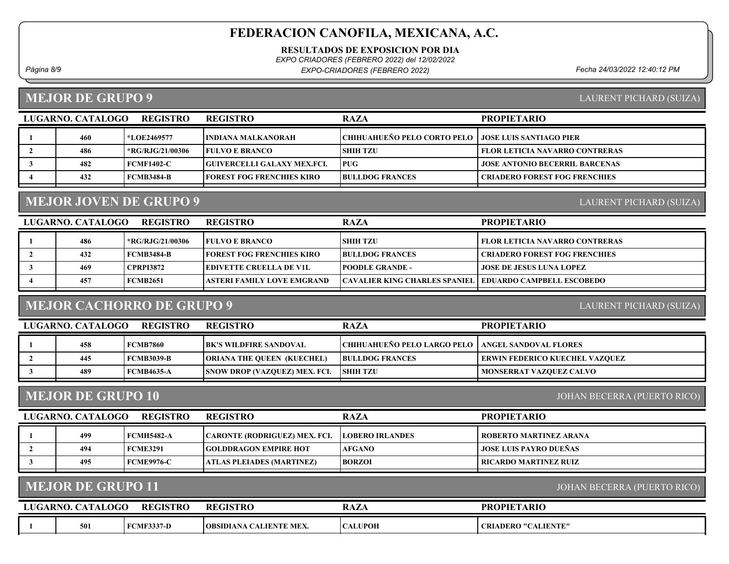RESULTADOS DE EXPOSICION POR DIA

EXPO CRIADORES (FEBRERO 2022) del 12/02/2022

Página 8/9 Fecha 24/03/2022 12:40:12 PM EXPO-CRIADORES (FEBRERO 2022)

### MEJOR DE GRUPO 9

| LAURENT PICHARD (SUIZA) |  |
|-------------------------|--|
|                         |  |

| LUGARNO. CATALOGO | <b>REGISTRO</b>    | <b>REGISTRO</b>                    | <b>RAZA</b>                                           | <b>PROPIETARIO</b>                    |
|-------------------|--------------------|------------------------------------|-------------------------------------------------------|---------------------------------------|
| 460               | <b>*LOE2469577</b> | HNDIANA MALKANORAH-                | CHIHUAHUEÑO PELO CORTO PELO   JOSE LUIS SANTIAGO PIER |                                       |
| 486               | *RG/RJG/21/00306   | <b>FULVO E BRANCO</b>              | <b>SHIH TZU</b>                                       | <b>FLOR LETICIA NAVARRO CONTRERAS</b> |
| 482               | FCMF1402-C         | <b>GUIVERCELLI GALAXY MEX.FCI.</b> | <b>PUG</b>                                            | <b>JOSE ANTONIO BECERRIL BARCENAS</b> |
| 432               | FCMB3484-B         | <b>FOREST FOG FRENCHIES KIRO</b>   | <b>BULLDOG FRANCES</b>                                | <b>CRIADERO FOREST FOG FRENCHIES</b>  |

# MEJOR JOVEN DE GRUPO 9

| LUGARNO. CATALOGO | <b>REGISTRO</b>   | <b>REGISTRO</b>                  | <b>RAZA</b>                                               | <b>PROPIETARIO</b>                    |
|-------------------|-------------------|----------------------------------|-----------------------------------------------------------|---------------------------------------|
| 486               | *RG/RJG/21/00306  | <b>FULVO E BRANCO</b>            | <b>SHIH TZU</b>                                           | <b>FLOR LETICIA NAVARRO CONTRERAS</b> |
| 432               | <b>FCMB3484-B</b> | <b>FOREST FOG FRENCHIES KIRO</b> | <b>BULLDOG FRANCES</b>                                    | <b>CRIADERO FOREST FOG FRENCHIES</b>  |
| 469               | <b>CPRPI3872</b>  | <b>IEDIVETTE CRUELLA DE V1L</b>  | <b>POODLE GRANDE -</b>                                    | <b>JOSE DE JESUS LUNA LOPEZ</b>       |
| 457               | <b>FCMB2651</b>   | ASTERI FAMILY LOVE EMGRAND       | CAVALIER KING CHARLES SPANIEL   EDUARDO CAMPBELL ESCOBEDO |                                       |
|                   |                   |                                  |                                                           |                                       |

### MEJOR CACHORRO DE GRUPO 9

LAURENT PICHARD (SUIZA)

LAURENT PICHARD (SUIZA)

| LUGARNO. CATALOGO | REGISTRO          | <b>REGISTRO</b>                      | <b>RAZA</b>                                         | <b>PROPIETARIO</b>                    |
|-------------------|-------------------|--------------------------------------|-----------------------------------------------------|---------------------------------------|
| 458               | FCMB7860          | <b>IBK'S WILDFIRE SANDOVAL</b>       | CHIHUAHUEÑO PELO LARGO PELO   ANGEL SANDOVAL FLORES |                                       |
| 445               | <b>FCMB3039-B</b> | <b>ORIANA THE QUEEN (KUECHEL)</b>    | <b>BULLDOG FRANCES</b>                              | <b>ERWIN FEDERICO KUECHEL VAZQUEZ</b> |
| 489               | <b>FCMB4635-A</b> | <b>SNOW DROP (VAZQUEZ) MEX. FCI.</b> | <b>SHIH TZU</b>                                     | MONSERRAT VAZQUEZ CALVO               |
|                   |                   |                                      |                                                     |                                       |

### MEJOR DE GRUPO 10

JOHAN BECERRA (PUERTO RICO)

| 499<br><b>ROBERTO MARTINEZ ARANA</b><br>  CARONTE (RODRIGUEZ) MEX. FCI.<br>  FCMH5482-A<br><b>LOBERO IRLANDES</b><br><b>JOSE LUIS PAYRO DUEÑAS</b><br>494<br><b>GOLDDRAGON EMPIRE HOT</b><br><b>AFGANO</b><br><b>FCME3291</b><br>495<br>  FCME9976-C<br><b>BORZOI</b><br>  RICARDO MARTINEZ RUIZ-<br>  ATLAS PLEIADES (MARTINEZ) | LUGARNO. CATALOGO<br>REGISTRO |  |  | <b>REGISTRO</b> | <b>RAZA</b> | <b>PROPIETARIO</b> |
|----------------------------------------------------------------------------------------------------------------------------------------------------------------------------------------------------------------------------------------------------------------------------------------------------------------------------------|-------------------------------|--|--|-----------------|-------------|--------------------|
|                                                                                                                                                                                                                                                                                                                                  |                               |  |  |                 |             |                    |
|                                                                                                                                                                                                                                                                                                                                  |                               |  |  |                 |             |                    |
|                                                                                                                                                                                                                                                                                                                                  |                               |  |  |                 |             |                    |

### MEJOR DE GRUPO 11

JOHAN BECERRA (PUERTO RICO)

| LUGARNO. C. | <b>CATALOGO</b> | <b>REGISTRO</b>   | <b>REGISTRO</b>                               | <b>RAZA</b>    | <b>PROPIETARIO</b>        |
|-------------|-----------------|-------------------|-----------------------------------------------|----------------|---------------------------|
|             | 501             | <b>FCMF3337-D</b> | <b>\ CALIENTE MEX.</b><br><b>OBSIDIANA C.</b> | <b>CALUPOH</b> | ADERO "CALIENTE" .<br>CRI |